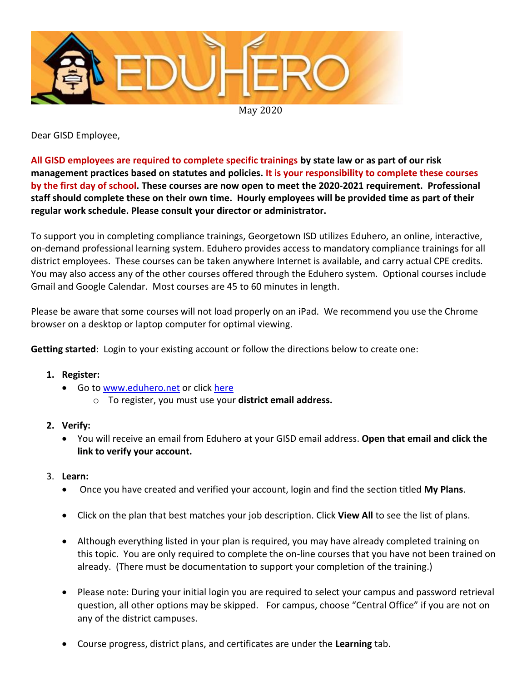

Dear GISD Employee,

**All GISD employees are required to complete specific trainings by state law or as part of our risk management practices based on statutes and policies. It is your responsibility to complete these courses by the first day of school. These courses are now open to meet the 2020-2021 requirement. Professional staff should complete these on their own time. Hourly employees will be provided time as part of their regular work schedule. Please consult your director or administrator.**

To support you in completing compliance trainings, Georgetown ISD utilizes Eduhero, an online, interactive, on-demand professional learning system. Eduhero provides access to mandatory compliance trainings for all district employees. These courses can be taken anywhere Internet is available, and carry actual CPE credits. You may also access any of the other courses offered through the Eduhero system. Optional courses include Gmail and Google Calendar. Most courses are 45 to 60 minutes in length.

Please be aware that some courses will not load properly on an iPad. We recommend you use the Chrome browser on a desktop or laptop computer for optimal viewing.

**Getting started**: Login to your existing account or follow the directions below to create one:

- **1. Register:**
	- **Go t[o www.eduhero.net](http://www.eduhero.net/) or click [here](https://eduhero.net/register.php)** 
		- o To register, you must use your **district email address.**
- **2. Verify:**
	- You will receive an email from Eduhero at your GISD email address. **Open that email and click the link to verify your account.**
- 3. **Learn:**
	- Once you have created and verified your account, login and find the section titled **My Plans**.
	- Click on the plan that best matches your job description. Click **View All** to see the list of plans.
	- Although everything listed in your plan is required, you may have already completed training on this topic. You are only required to complete the on-line courses that you have not been trained on already. (There must be documentation to support your completion of the training.)
	- Please note: During your initial login you are required to select your campus and password retrieval question, all other options may be skipped. For campus, choose "Central Office" if you are not on any of the district campuses.
	- Course progress, district plans, and certificates are under the **Learning** tab.